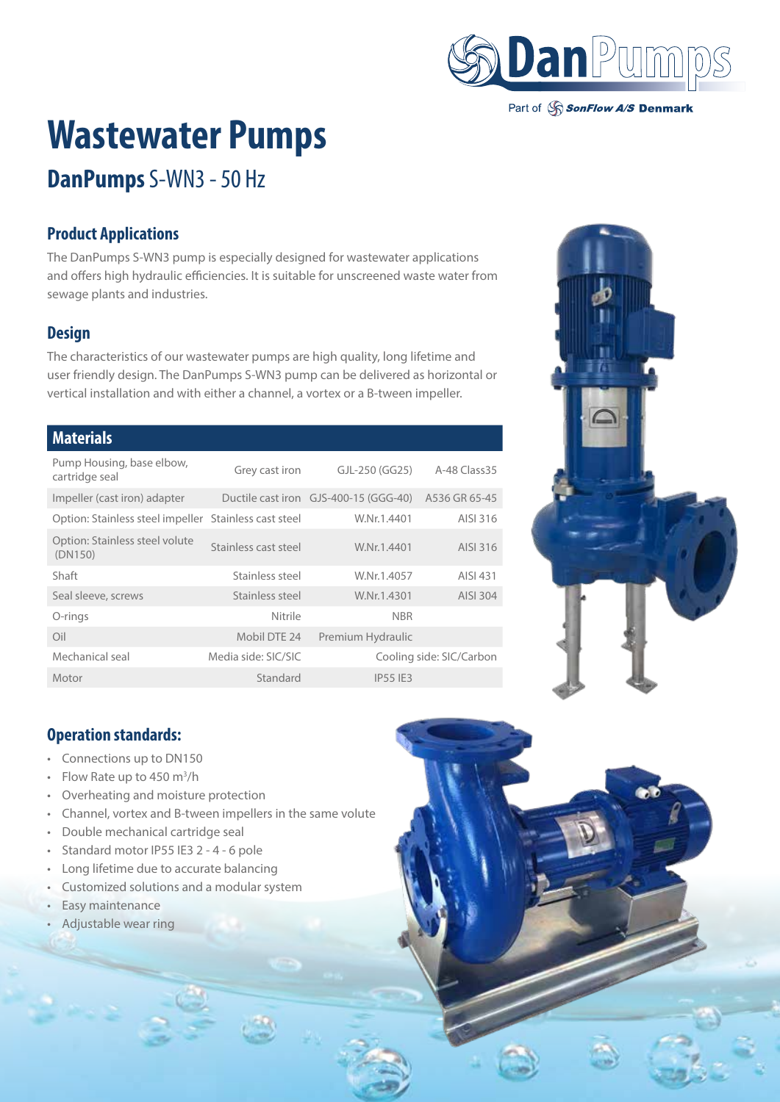

Part of SonFlow A/S Denmark

# **Wastewater Pumps**

# **DanPumps** S-WN3 - 50 Hz

## **Product Applications**

The DanPumps S-WN3 pump is especially designed for wastewater applications and offers high hydraulic efficiencies. It is suitable for unscreened waste water from sewage plants and industries.

## **Design**

The characteristics of our wastewater pumps are high quality, long lifetime and user friendly design. The DanPumps S-WN3 pump can be delivered as horizontal or vertical installation and with either a channel, a vortex or a B-tween impeller.

#### **Materials**

| Pump Housing, base elbow,<br>cartridge seal           | Grey cast iron       | GJL-250 (GG25)                        | A-48 Class 35            |
|-------------------------------------------------------|----------------------|---------------------------------------|--------------------------|
| Impeller (cast iron) adapter                          |                      | Ductile cast iron GJS-400-15 (GGG-40) | A536 GR 65-45            |
| Option: Stainless steel impeller Stainless cast steel |                      | W.Nr.1.4401                           | AISI 316                 |
| Option: Stainless steel volute<br>(DN150)             | Stainless cast steel | W.Nr.1.4401                           | AISI 316                 |
| Shaft                                                 | Stainless steel      | W.Nr.1.4057                           | AISI 431                 |
| Seal sleeve, screws                                   | Stainless steel      | W.Nr.1.4301                           | AISI 304                 |
| O-rings                                               | Nitrile              | <b>NBR</b>                            |                          |
| Oil                                                   | Mobil DTE 24         | Premium Hydraulic                     |                          |
| Mechanical seal                                       | Media side: SIC/SIC  |                                       | Cooling side: SIC/Carbon |
| Motor                                                 | Standard             | <b>IP55 IF3</b>                       |                          |



## **Operation standards:**

- Connections up to DN150
- Flow Rate up to 450 m<sup>3</sup>/h
- Overheating and moisture protection
- Channel, vortex and B-tween impellers in the same volute
- Double mechanical cartridge seal
- Standard motor IP55 IE3 2 4 6 pole
- Long lifetime due to accurate balancing
- Customized solutions and a modular system
- Easy maintenance
- Adjustable wear ring